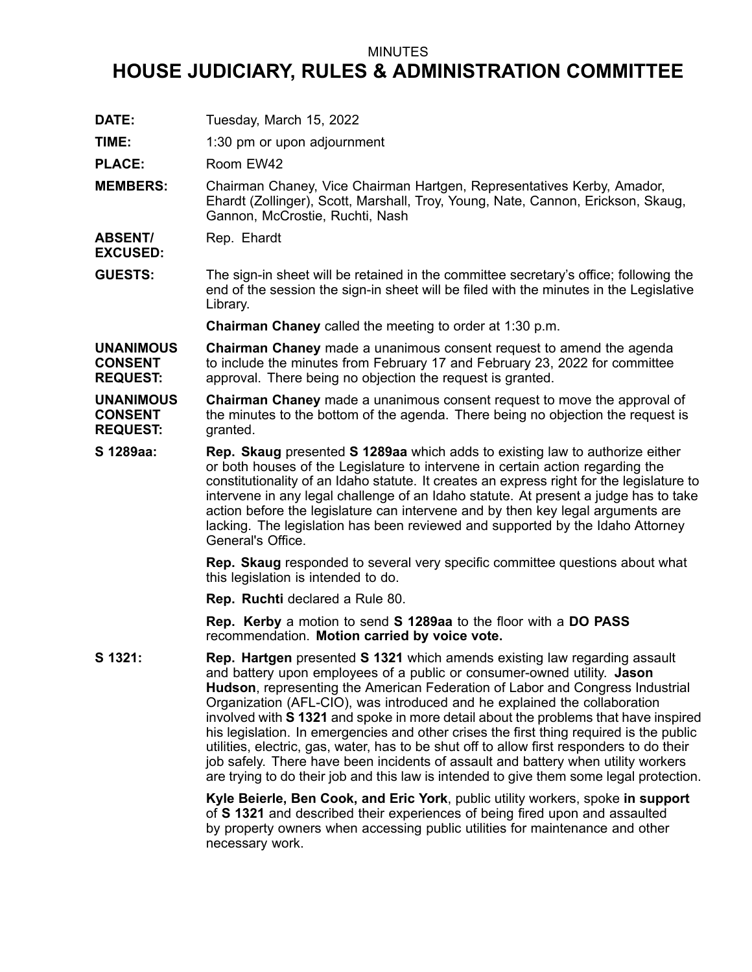## MINUTES

## **HOUSE JUDICIARY, RULES & ADMINISTRATION COMMITTEE**

- **DATE:** Tuesday, March 15, 2022
- **TIME:** 1:30 pm or upon adjournment

PLACE: Room EW42

- **MEMBERS:** Chairman Chaney, Vice Chairman Hartgen, Representatives Kerby, Amador, Ehardt (Zollinger), Scott, Marshall, Troy, Young, Nate, Cannon, Erickson, Skaug, Gannon, McCrostie, Ruchti, Nash
- **ABSENT/** Rep. Ehardt

**EXCUSED:**

**GUESTS:** The sign-in sheet will be retained in the committee secretary's office; following the end of the session the sign-in sheet will be filed with the minutes in the Legislative Library.

**Chairman Chaney** called the meeting to order at 1:30 p.m.

**UNANIMOUS CONSENT REQUEST: Chairman Chaney** made <sup>a</sup> unanimous consent request to amend the agenda to include the minutes from February 17 and February 23, 2022 for committee approval. There being no objection the request is granted.

**UNANIMOUS CONSENT REQUEST: Chairman Chaney** made <sup>a</sup> unanimous consent request to move the approval of the minutes to the bottom of the agenda. There being no objection the request is granted.

**S 1289aa: Rep. Skaug** presented **S 1289aa** which adds to existing law to authorize either or both houses of the Legislature to intervene in certain action regarding the constitutionality of an Idaho statute. It creates an express right for the legislature to intervene in any legal challenge of an Idaho statute. At present <sup>a</sup> judge has to take action before the legislature can intervene and by then key legal arguments are lacking. The legislation has been reviewed and supported by the Idaho Attorney General's Office.

> **Rep. Skaug** responded to several very specific committee questions about what this legislation is intended to do.

**Rep. Ruchti** declared <sup>a</sup> Rule 80.

**Rep. Kerby** <sup>a</sup> motion to send **S 1289aa** to the floor with <sup>a</sup> **DO PASS** recommendation. **Motion carried by voice vote.**

**S 1321: Rep. Hartgen** presented **S 1321** which amends existing law regarding assault and battery upon employees of <sup>a</sup> public or consumer-owned utility. **Jason Hudson**, representing the American Federation of Labor and Congress Industrial Organization (AFL-CIO), was introduced and he explained the collaboration involved with **S 1321** and spoke in more detail about the problems that have inspired his legislation. In emergencies and other crises the first thing required is the public utilities, electric, gas, water, has to be shut off to allow first responders to do their job safely. There have been incidents of assault and battery when utility workers are trying to do their job and this law is intended to give them some legal protection.

> **Kyle Beierle, Ben Cook, and Eric York**, public utility workers, spoke **in support** of **S 1321** and described their experiences of being fired upon and assaulted by property owners when accessing public utilities for maintenance and other necessary work.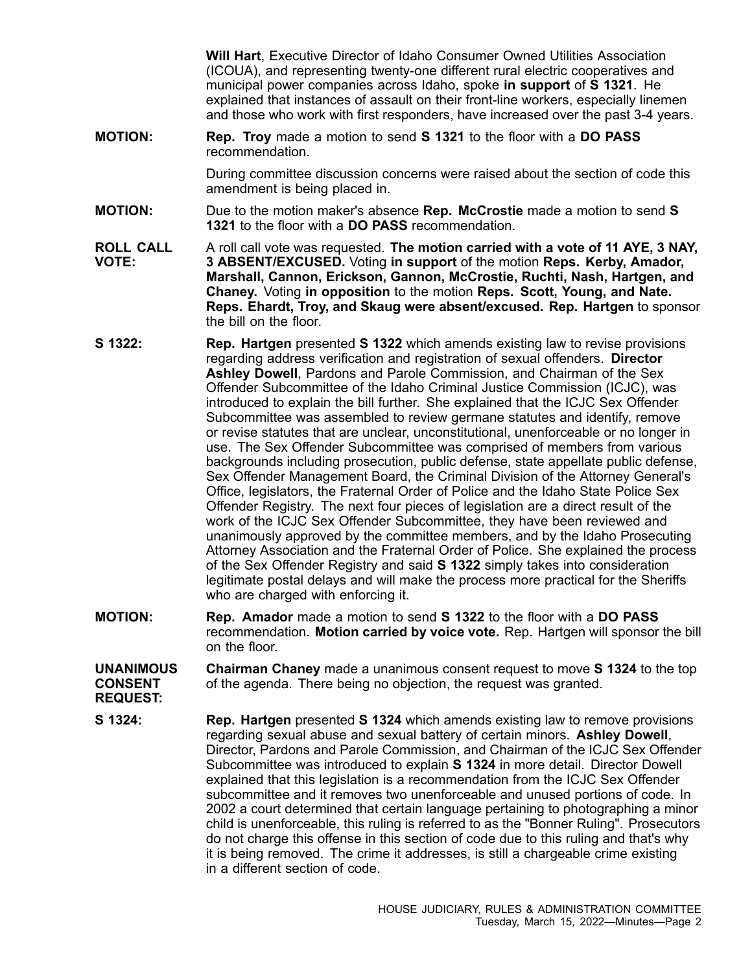**Will Hart**, Executive Director of Idaho Consumer Owned Utilities Association (ICOUA), and representing twenty-one different rural electric cooperatives and municipal power companies across Idaho, spoke **in support** of **S 1321**. He explained that instances of assault on their front-line workers, especially linemen and those who work with first responders, have increased over the past 3-4 years.

**MOTION: Rep. Troy** made <sup>a</sup> motion to send **S 1321** to the floor with <sup>a</sup> **DO PASS** recommendation.

> During committee discussion concerns were raised about the section of code this amendment is being placed in.

- **MOTION:** Due to the motion maker's absence **Rep. McCrostie** made <sup>a</sup> motion to send **S 1321** to the floor with a **DO PASS** recommendation.
- **ROLL CALL VOTE:** A roll call vote was requested. **The motion carried with <sup>a</sup> vote of 11 AYE, 3 NAY, 3 ABSENT/EXCUSED.** Voting **in support** of the motion **Reps. Kerby, Amador, Marshall, Cannon, Erickson, Gannon, McCrostie, Ruchti, Nash, Hartgen, and Chaney.** Voting **in opposition** to the motion **Reps. Scott, Young, and Nate. Reps. Ehardt, Troy, and Skaug were absent/excused. Rep. Hartgen** to sponsor the bill on the floor.
- **S 1322: Rep. Hartgen** presented **S 1322** which amends existing law to revise provisions regarding address verification and registration of sexual offenders. **Director Ashley Dowell**, Pardons and Parole Commission, and Chairman of the Sex Offender Subcommittee of the Idaho Criminal Justice Commission (ICJC), was introduced to explain the bill further. She explained that the ICJC Sex Offender Subcommittee was assembled to review germane statutes and identify, remove or revise statutes that are unclear, unconstitutional, unenforceable or no longer in use. The Sex Offender Subcommittee was comprised of members from various backgrounds including prosecution, public defense, state appellate public defense, Sex Offender Management Board, the Criminal Division of the Attorney General's Office, legislators, the Fraternal Order of Police and the Idaho State Police Sex Offender Registry. The next four pieces of legislation are <sup>a</sup> direct result of the work of the ICJC Sex Offender Subcommittee, they have been reviewed and unanimously approved by the committee members, and by the Idaho Prosecuting Attorney Association and the Fraternal Order of Police. She explained the process of the Sex Offender Registry and said **S 1322** simply takes into consideration legitimate postal delays and will make the process more practical for the Sheriffs who are charged with enforcing it.
- **MOTION: Rep. Amador** made <sup>a</sup> motion to send **S 1322** to the floor with <sup>a</sup> **DO PASS** recommendation. **Motion carried by voice vote.** Rep. Hartgen will sponsor the bill on the floor.
- **UNANIMOUS CONSENT Chairman Chaney** made <sup>a</sup> unanimous consent request to move **S 1324** to the top of the agenda. There being no objection, the request was granted.
- **REQUEST:**
- **S 1324: Rep. Hartgen** presented **S 1324** which amends existing law to remove provisions regarding sexual abuse and sexual battery of certain minors. **Ashley Dowell**, Director, Pardons and Parole Commission, and Chairman of the ICJC Sex Offender Subcommittee was introduced to explain **S 1324** in more detail. Director Dowell explained that this legislation is <sup>a</sup> recommendation from the ICJC Sex Offender subcommittee and it removes two unenforceable and unused portions of code. In 2002 <sup>a</sup> court determined that certain language pertaining to photographing <sup>a</sup> minor child is unenforceable, this ruling is referred to as the "Bonner Ruling". Prosecutors do not charge this offense in this section of code due to this ruling and that's why it is being removed. The crime it addresses, is still <sup>a</sup> chargeable crime existing in a different section of code.